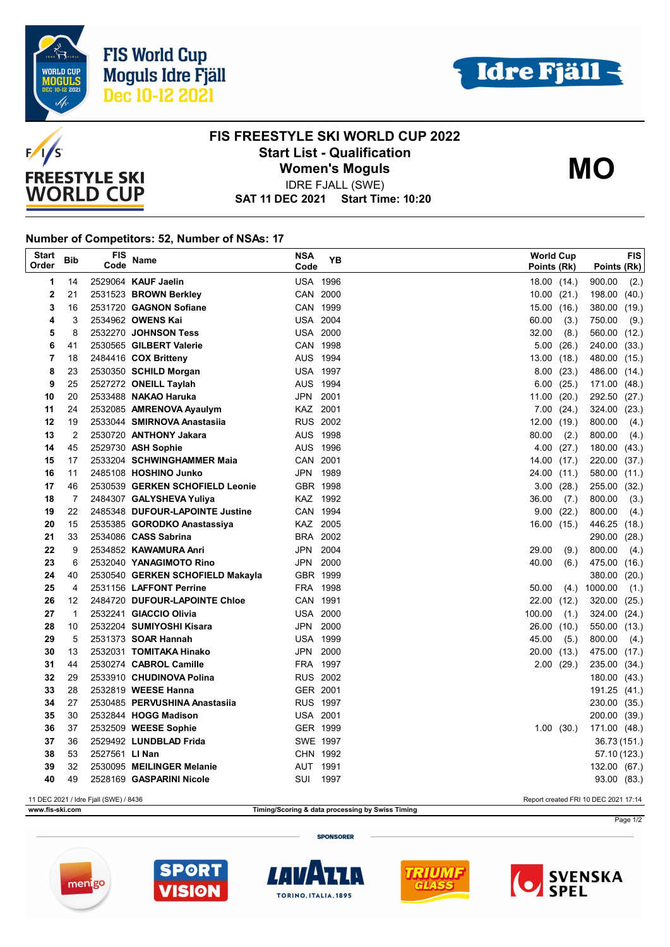





## **FIS FREESTYLE SKI WORLD CUP 2022 Start List - Qualification Women's Moguls**

**MO**

**SAT 11 DEC 2021 Start Time: 10:20** IDRE FJALL (SWE)

## **Number of Competitors: 52, Number of NSAs: 17**

| <b>Start</b><br>Order                                                         | <b>Bib</b>     | FIS<br>Code    | <b>Name</b>                      | <b>NSA</b><br>Code | YB   |  | <b>World Cup</b><br>Points (Rk) |                | Points (Rk)  | <b>FIS</b> |
|-------------------------------------------------------------------------------|----------------|----------------|----------------------------------|--------------------|------|--|---------------------------------|----------------|--------------|------------|
| 1                                                                             | 14             |                | 2529064 KAUF Jaelin              | <b>USA 1996</b>    |      |  | 18.00 (14.)                     |                | 900.00       | (2.)       |
| $\mathbf 2$                                                                   | 21             |                | 2531523 BROWN Berkley            | CAN 2000           |      |  | $10.00$ $(21.)$                 |                | 198.00 (40.) |            |
| 3                                                                             | 16             |                | 2531720 GAGNON Sofiane           | CAN 1999           |      |  | 15.00(16.)                      |                | 380.00       | (19.)      |
| 4                                                                             | 3              |                | 2534962 OWENS Kai                | <b>USA 2004</b>    |      |  | 60.00                           | (3.)           | 750.00       | (9.)       |
| 5                                                                             | 8              |                | 2532270 JOHNSON Tess             | <b>USA 2000</b>    |      |  | 32.00                           | (8.)           | 560.00 (12.) |            |
| 6                                                                             | 41             |                | 2530565 GILBERT Valerie          | CAN 1998           |      |  |                                 | 5.00(26.)      | 240.00 (33.) |            |
| 7                                                                             | 18             |                | 2484416 COX Britteny             | AUS 1994           |      |  | 13.00(18.)                      |                | 480.00 (15.) |            |
| 8                                                                             | 23             |                | 2530350 SCHILD Morgan            | <b>USA 1997</b>    |      |  |                                 | 8.00(23.)      | 486.00 (14.) |            |
| 9                                                                             | 25             |                | 2527272 ONEILL Taylah            | AUS 1994           |      |  |                                 | 6.00(25.)      | 171.00 (48.) |            |
| 10                                                                            | 20             |                | 2533488 NAKAO Haruka             | JPN                | 2001 |  | 11.00(20.)                      |                | 292.50       | (27.)      |
| 11                                                                            | 24             |                | 2532085 AMRENOVA Ayaulym         | KAZ 2001           |      |  |                                 | 7.00(24.)      | 324.00 (23.) |            |
| 12                                                                            | 19             |                | 2533044 SMIRNOVA Anastasiia      | <b>RUS 2002</b>    |      |  | 12.00(19.)                      |                | 800.00       | (4.)       |
| 13                                                                            | $\overline{2}$ |                | 2530720 ANTHONY Jakara           | AUS 1998           |      |  | 80.00                           | (2.)           | 800.00       | (4.)       |
| 14                                                                            | 45             |                | 2529730 ASH Sophie               | AUS 1996           |      |  | 4.00                            | (27.)          | 180.00       | (43.)      |
| 15                                                                            | 17             |                | 2533204 SCHWINGHAMMER Maia       | CAN 2001           |      |  | 14.00 (17.)                     |                | 220.00 (37.) |            |
| 16                                                                            | 11             |                | 2485108 HOSHINO Junko            | JPN 1989           |      |  | 24.00 (11.)                     |                | 580.00 (11.) |            |
| 17                                                                            | 46             |                | 2530539 GERKEN SCHOFIELD Leonie  | GBR 1998           |      |  |                                 | 3.00(28.)      | 255.00 (32.) |            |
| 18                                                                            | 7              |                | 2484307 GALYSHEVA Yuliya         | KAZ 1992           |      |  | 36.00                           | (7.)           | 800.00       | (3.)       |
| 19                                                                            | 22             |                | 2485348 DUFOUR-LAPOINTE Justine  | CAN 1994           |      |  | 9.00                            | (22.)          | 800.00       | (4.)       |
| 20                                                                            | 15             |                | 2535385 GORODKO Anastassiya      | KAZ 2005           |      |  | 16.00(15.)                      |                | 446.25 (18.) |            |
| 21                                                                            | 33             |                | 2534086 CASS Sabrina             | BRA 2002           |      |  |                                 |                | 290.00       | (28.)      |
| 22                                                                            | 9              |                | 2534852 KAWAMURA Anri            | JPN 2004           |      |  | 29.00                           | (9.)           | 800.00       | (4.)       |
| 23                                                                            | 6              |                | 2532040 YANAGIMOTO Rino          | JPN 2000           |      |  | 40.00                           | (6.)           | 475.00 (16.) |            |
| 24                                                                            | 40             |                | 2530540 GERKEN SCHOFIELD Makayla | GBR 1999           |      |  |                                 |                | 380.00       | (20.)      |
| 25                                                                            | 4              |                | 2531156 LAFFONT Perrine          | FRA 1998           |      |  | 50.00                           | (4)            | 1000.00      | (1.)       |
| 26                                                                            | 12             |                | 2484720 DUFOUR-LAPOINTE Chloe    | CAN 1991           |      |  | 22.00 (12.)                     |                | 320.00 (25.) |            |
| 27                                                                            | $\mathbf{1}$   |                | 2532241 GIACCIO Olivia           | <b>USA 2000</b>    |      |  | 100.00                          | (1.)           | 324.00 (24.) |            |
| 28                                                                            | 10             |                | 2532204 SUMIYOSHI Kisara         | JPN 2000           |      |  | 26.00                           | (10.)          | 550.00 (13.) |            |
| 29                                                                            | 5              |                | 2531373 SOAR Hannah              | <b>USA 1999</b>    |      |  | 45.00                           | (5.)           | 800.00       | (4.)       |
| 30                                                                            | 13             |                | 2532031 TOMITAKA Hinako          | JPN 2000           |      |  | 20.00 (13.)                     |                | 475.00 (17.) |            |
| 31                                                                            | 44             |                | 2530274 CABROL Camille           | FRA 1997           |      |  |                                 | $2.00$ $(29.)$ | 235.00 (34.) |            |
| 32                                                                            | 29             |                | 2533910 CHUDINOVA Polina         | <b>RUS 2002</b>    |      |  |                                 |                | 180.00 (43.) |            |
| 33                                                                            | 28             |                | 2532819 WEESE Hanna              | GER 2001           |      |  |                                 |                | 191.25 (41.) |            |
| 34                                                                            | 27             |                | 2530485 PERVUSHINA Anastasiia    | <b>RUS 1997</b>    |      |  |                                 |                | 230.00 (35.) |            |
| 35                                                                            | 30             |                | 2532844 HOGG Madison             | <b>USA 2001</b>    |      |  |                                 |                | 200.00 (39.) |            |
| 36                                                                            | 37             |                | 2532509 WEESE Sophie             | GER 1999           |      |  |                                 | 1.00(30)       | 171.00 (48.) |            |
| 37                                                                            | 36             |                | 2529492 LUNDBLAD Frida           | SWE 1997           |      |  |                                 |                | 36.73 (151.) |            |
| 38                                                                            | 53             | 2527561 LI Nan |                                  | CHN 1992           |      |  |                                 |                | 57.10 (123.) |            |
| 39<br>40                                                                      | 32<br>49       |                | 2530095 MEILINGER Melanie        | AUT 1991<br>SUI    | 1997 |  |                                 |                | 132.00 (67.) |            |
| 2528169 GASPARINI Nicole<br>93.00 (83.)                                       |                |                |                                  |                    |      |  |                                 |                |              |            |
| 11 DEC 2021 / Idre Fjall (SWE) / 8436<br>Report created FRI 10 DEC 2021 17:14 |                |                |                                  |                    |      |  |                                 |                |              |            |

**www.fis-ski.com Timing/Scoring & data processing by Swiss Timing**

Page 1/2

**SPONSORER**